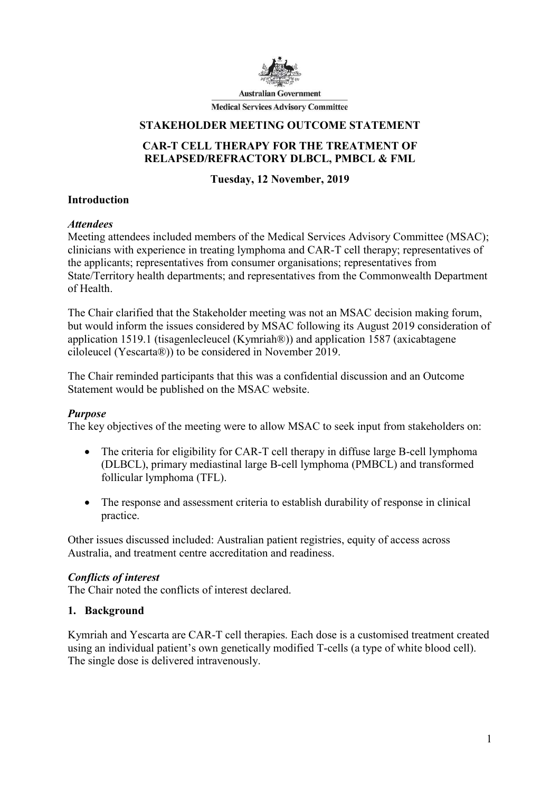

**Australian Government** 

**Medical Services Advisory Committee** 

#### STAKEHOLDER MEETING OUTCOME STATEMENT

### CAR-T CELL THERAPY FOR THE TREATMENT OF RELAPSED/REFRACTORY DLBCL, PMBCL & FML

### Tuesday, 12 November, 2019

#### Introduction

#### **Attendees**

Meeting attendees included members of the Medical Services Advisory Committee (MSAC); clinicians with experience in treating lymphoma and CAR-T cell therapy; representatives of the applicants; representatives from consumer organisations; representatives from State/Territory health departments; and representatives from the Commonwealth Department of Health.

The Chair clarified that the Stakeholder meeting was not an MSAC decision making forum, but would inform the issues considered by MSAC following its August 2019 consideration of application 1519.1 (tisagenlecleucel (Kymriah®)) and application 1587 (axicabtagene ciloleucel (Yescarta®)) to be considered in November 2019.

The Chair reminded participants that this was a confidential discussion and an Outcome Statement would be published on the MSAC website.

#### Purpose

The key objectives of the meeting were to allow MSAC to seek input from stakeholders on:

- The criteria for eligibility for CAR-T cell therapy in diffuse large B-cell lymphoma (DLBCL), primary mediastinal large B-cell lymphoma (PMBCL) and transformed follicular lymphoma (TFL).
- The response and assessment criteria to establish durability of response in clinical practice.

Other issues discussed included: Australian patient registries, equity of access across Australia, and treatment centre accreditation and readiness.

#### Conflicts of interest

The Chair noted the conflicts of interest declared.

#### 1. Background

Kymriah and Yescarta are CAR-T cell therapies. Each dose is a customised treatment created using an individual patient's own genetically modified T-cells (a type of white blood cell). The single dose is delivered intravenously.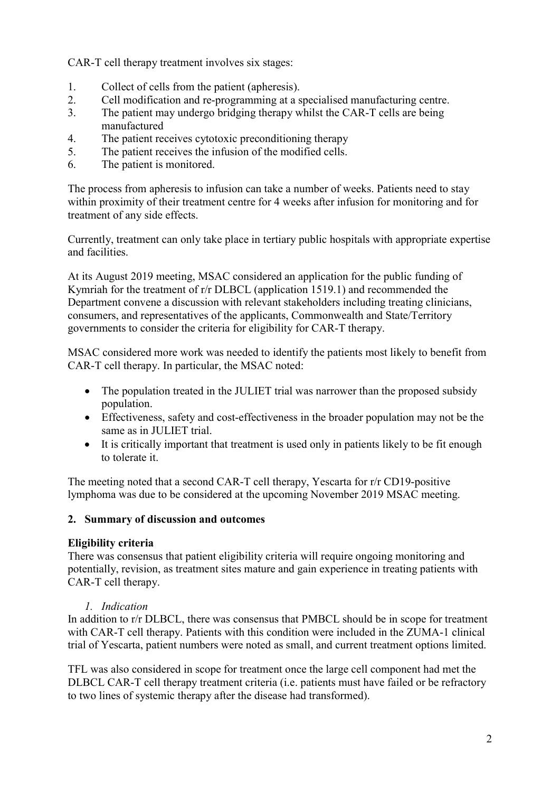CAR-T cell therapy treatment involves six stages:

- 1. Collect of cells from the patient (apheresis).
- 2. Cell modification and re-programming at a specialised manufacturing centre.
- 3. The patient may undergo bridging therapy whilst the CAR-T cells are being manufactured
- 4. The patient receives cytotoxic preconditioning therapy
- 5. The patient receives the infusion of the modified cells.
- 6. The patient is monitored.

The process from apheresis to infusion can take a number of weeks. Patients need to stay within proximity of their treatment centre for 4 weeks after infusion for monitoring and for treatment of any side effects.

Currently, treatment can only take place in tertiary public hospitals with appropriate expertise and facilities.

At its August 2019 meeting, MSAC considered an application for the public funding of Kymriah for the treatment of r/r DLBCL (application 1519.1) and recommended the Department convene a discussion with relevant stakeholders including treating clinicians, consumers, and representatives of the applicants, Commonwealth and State/Territory governments to consider the criteria for eligibility for CAR-T therapy.

MSAC considered more work was needed to identify the patients most likely to benefit from CAR-T cell therapy. In particular, the MSAC noted:

- The population treated in the JULIET trial was narrower than the proposed subsidy population.
- Effectiveness, safety and cost-effectiveness in the broader population may not be the same as in JULIET trial.
- It is critically important that treatment is used only in patients likely to be fit enough to tolerate it.

The meeting noted that a second CAR-T cell therapy, Yescarta for r/r CD19-positive lymphoma was due to be considered at the upcoming November 2019 MSAC meeting.

## 2. Summary of discussion and outcomes

## Eligibility criteria

There was consensus that patient eligibility criteria will require ongoing monitoring and potentially, revision, as treatment sites mature and gain experience in treating patients with CAR-T cell therapy.

#### 1. Indication

In addition to r/r DLBCL, there was consensus that PMBCL should be in scope for treatment with CAR-T cell therapy. Patients with this condition were included in the ZUMA-1 clinical trial of Yescarta, patient numbers were noted as small, and current treatment options limited.

TFL was also considered in scope for treatment once the large cell component had met the DLBCL CAR-T cell therapy treatment criteria (i.e. patients must have failed or be refractory to two lines of systemic therapy after the disease had transformed).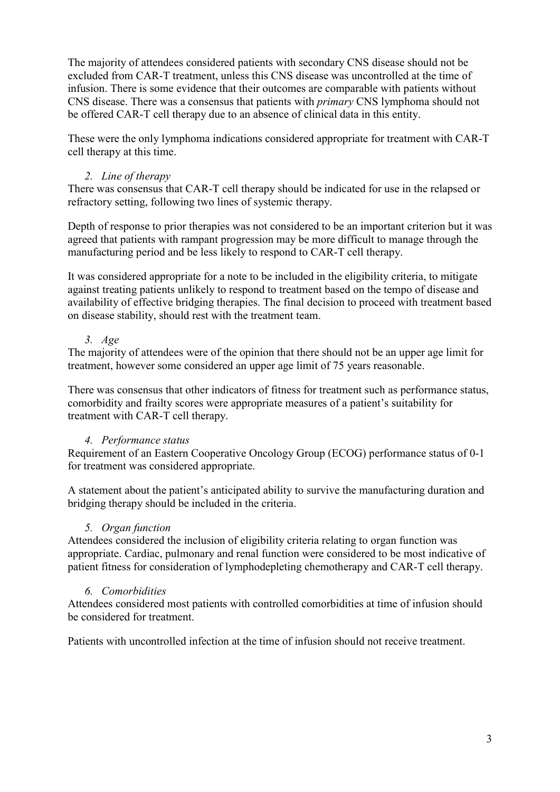The majority of attendees considered patients with secondary CNS disease should not be excluded from CAR-T treatment, unless this CNS disease was uncontrolled at the time of infusion. There is some evidence that their outcomes are comparable with patients without CNS disease. There was a consensus that patients with primary CNS lymphoma should not be offered CAR-T cell therapy due to an absence of clinical data in this entity.

These were the only lymphoma indications considered appropriate for treatment with CAR-T cell therapy at this time.

## 2. Line of therapy

There was consensus that CAR-T cell therapy should be indicated for use in the relapsed or refractory setting, following two lines of systemic therapy.

Depth of response to prior therapies was not considered to be an important criterion but it was agreed that patients with rampant progression may be more difficult to manage through the manufacturing period and be less likely to respond to CAR-T cell therapy.

It was considered appropriate for a note to be included in the eligibility criteria, to mitigate against treating patients unlikely to respond to treatment based on the tempo of disease and availability of effective bridging therapies. The final decision to proceed with treatment based on disease stability, should rest with the treatment team.

# 3. Age

The majority of attendees were of the opinion that there should not be an upper age limit for treatment, however some considered an upper age limit of 75 years reasonable.

There was consensus that other indicators of fitness for treatment such as performance status, comorbidity and frailty scores were appropriate measures of a patient's suitability for treatment with CAR-T cell therapy.

# 4. Performance status

Requirement of an Eastern Cooperative Oncology Group (ECOG) performance status of 0-1 for treatment was considered appropriate.

A statement about the patient's anticipated ability to survive the manufacturing duration and bridging therapy should be included in the criteria.

## 5. Organ function

Attendees considered the inclusion of eligibility criteria relating to organ function was appropriate. Cardiac, pulmonary and renal function were considered to be most indicative of patient fitness for consideration of lymphodepleting chemotherapy and CAR-T cell therapy.

## 6. Comorbidities

Attendees considered most patients with controlled comorbidities at time of infusion should be considered for treatment.

Patients with uncontrolled infection at the time of infusion should not receive treatment.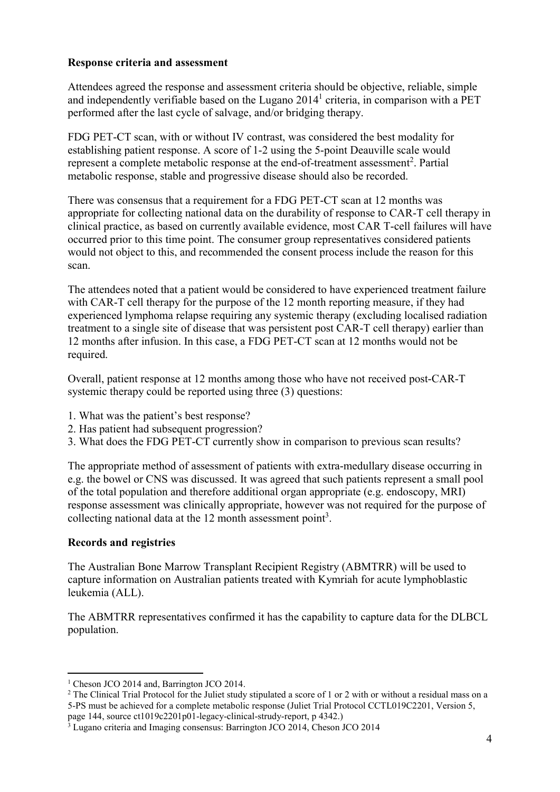## Response criteria and assessment

Attendees agreed the response and assessment criteria should be objective, reliable, simple and independently verifiable based on the Lugano  $2014<sup>1</sup>$  criteria, in comparison with a PET performed after the last cycle of salvage, and/or bridging therapy.

FDG PET-CT scan, with or without IV contrast, was considered the best modality for establishing patient response. A score of 1-2 using the 5-point Deauville scale would represent a complete metabolic response at the end-of-treatment assessment<sup>2</sup>. Partial metabolic response, stable and progressive disease should also be recorded.

There was consensus that a requirement for a FDG PET-CT scan at 12 months was appropriate for collecting national data on the durability of response to CAR-T cell therapy in clinical practice, as based on currently available evidence, most CAR T-cell failures will have occurred prior to this time point. The consumer group representatives considered patients would not object to this, and recommended the consent process include the reason for this scan.

The attendees noted that a patient would be considered to have experienced treatment failure with CAR-T cell therapy for the purpose of the 12 month reporting measure, if they had experienced lymphoma relapse requiring any systemic therapy (excluding localised radiation treatment to a single site of disease that was persistent post CAR-T cell therapy) earlier than 12 months after infusion. In this case, a FDG PET-CT scan at 12 months would not be required.

Overall, patient response at 12 months among those who have not received post-CAR-T systemic therapy could be reported using three (3) questions:

- 1. What was the patient's best response?
- 2. Has patient had subsequent progression?
- 3. What does the FDG PET-CT currently show in comparison to previous scan results?

The appropriate method of assessment of patients with extra-medullary disease occurring in e.g. the bowel or CNS was discussed. It was agreed that such patients represent a small pool of the total population and therefore additional organ appropriate (e.g. endoscopy, MRI) response assessment was clinically appropriate, however was not required for the purpose of collecting national data at the 12 month assessment point<sup>3</sup>.

## Records and registries

-

The Australian Bone Marrow Transplant Recipient Registry (ABMTRR) will be used to capture information on Australian patients treated with Kymriah for acute lymphoblastic leukemia (ALL).

The ABMTRR representatives confirmed it has the capability to capture data for the DLBCL population.

<sup>&</sup>lt;sup>1</sup> Cheson JCO 2014 and, Barrington JCO 2014.

<sup>&</sup>lt;sup>2</sup> The Clinical Trial Protocol for the Juliet study stipulated a score of 1 or 2 with or without a residual mass on a 5-PS must be achieved for a complete metabolic response (Juliet Trial Protocol CCTL019C2201, Version 5, page 144, source ct1019c2201p01-legacy-clinical-strudy-report, p 4342.)

<sup>&</sup>lt;sup>3</sup> Lugano criteria and Imaging consensus: Barrington JCO 2014, Cheson JCO 2014